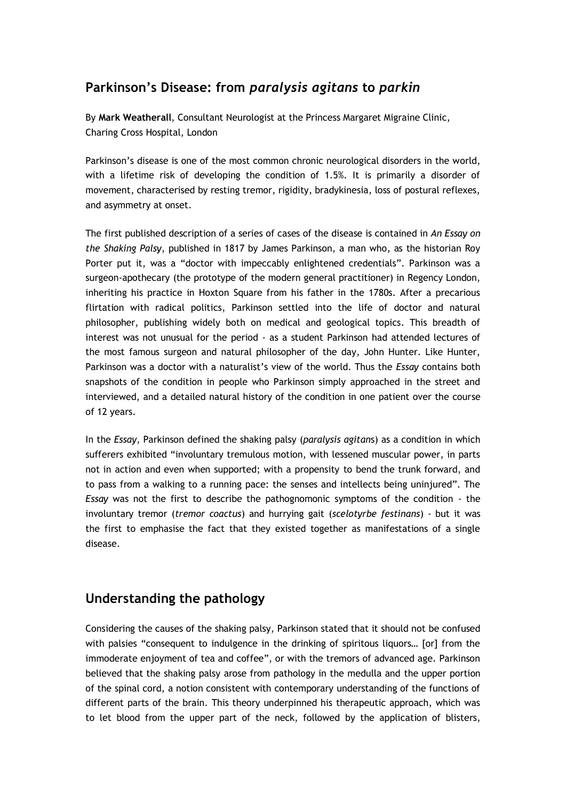# **Parkinson's Disease: from** *paralysis agitans* **to** *parkin*

By **Mark Weatherall**, Consultant Neurologist at the Princess Margaret Migraine Clinic, Charing Cross Hospital, London

Parkinson's disease is one of the most common chronic neurological disorders in the world, with a lifetime risk of developing the condition of 1.5%. It is primarily a disorder of movement, characterised by resting tremor, rigidity, bradykinesia, loss of postural reflexes, and asymmetry at onset.

The first published description of a series of cases of the disease is contained in *An Essay on the Shaking Palsy*, published in 1817 by James Parkinson, a man who, as the historian Roy Porter put it, was a "doctor with impeccably enlightened credentials". Parkinson was a surgeon-apothecary (the prototype of the modern general practitioner) in Regency London, inheriting his practice in Hoxton Square from his father in the 1780s. After a precarious flirtation with radical politics, Parkinson settled into the life of doctor and natural philosopher, publishing widely both on medical and geological topics. This breadth of interest was not unusual for the period - as a student Parkinson had attended lectures of the most famous surgeon and natural philosopher of the day, John Hunter. Like Hunter, Parkinson was a doctor with a naturalist"s view of the world. Thus the *Essay* contains both snapshots of the condition in people who Parkinson simply approached in the street and interviewed, and a detailed natural history of the condition in one patient over the course of 12 years.

In the *Essay*, Parkinson defined the shaking palsy (*paralysis agitan*s) as a condition in which sufferers exhibited "involuntary tremulous motion, with lessened muscular power, in parts not in action and even when supported; with a propensity to bend the trunk forward, and to pass from a walking to a running pace: the senses and intellects being uninjured". The *Essay* was not the first to describe the pathognomonic symptoms of the condition - the involuntary tremor (*tremor coactus*) and hurrying gait (*scelotyrbe festinans*) - but it was the first to emphasise the fact that they existed together as manifestations of a single disease.

### **Understanding the pathology**

Considering the causes of the shaking palsy, Parkinson stated that it should not be confused with palsies "consequent to indulgence in the drinking of spiritous liquors… [or] from the immoderate enjoyment of tea and coffee", or with the tremors of advanced age. Parkinson believed that the shaking palsy arose from pathology in the medulla and the upper portion of the spinal cord, a notion consistent with contemporary understanding of the functions of different parts of the brain. This theory underpinned his therapeutic approach, which was to let blood from the upper part of the neck, followed by the application of blisters,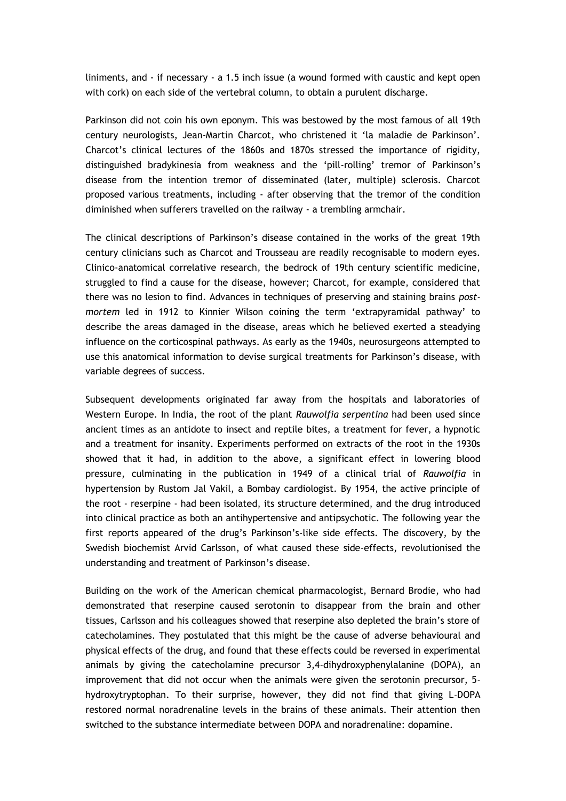liniments, and - if necessary - a 1.5 inch issue (a wound formed with caustic and kept open with cork) on each side of the vertebral column, to obtain a purulent discharge.

Parkinson did not coin his own eponym. This was bestowed by the most famous of all 19th century neurologists, Jean-Martin Charcot, who christened it "la maladie de Parkinson". Charcot"s clinical lectures of the 1860s and 1870s stressed the importance of rigidity, distinguished bradykinesia from weakness and the "pill-rolling" tremor of Parkinson"s disease from the intention tremor of disseminated (later, multiple) sclerosis. Charcot proposed various treatments, including - after observing that the tremor of the condition diminished when sufferers travelled on the railway - a trembling armchair.

The clinical descriptions of Parkinson"s disease contained in the works of the great 19th century clinicians such as Charcot and Trousseau are readily recognisable to modern eyes. Clinico-anatomical correlative research, the bedrock of 19th century scientific medicine, struggled to find a cause for the disease, however; Charcot, for example, considered that there was no lesion to find. Advances in techniques of preserving and staining brains *postmortem* led in 1912 to Kinnier Wilson coining the term "extrapyramidal pathway" to describe the areas damaged in the disease, areas which he believed exerted a steadying influence on the corticospinal pathways. As early as the 1940s, neurosurgeons attempted to use this anatomical information to devise surgical treatments for Parkinson"s disease, with variable degrees of success.

Subsequent developments originated far away from the hospitals and laboratories of Western Europe. In India, the root of the plant *Rauwolfia serpentina* had been used since ancient times as an antidote to insect and reptile bites, a treatment for fever, a hypnotic and a treatment for insanity. Experiments performed on extracts of the root in the 1930s showed that it had, in addition to the above, a significant effect in lowering blood pressure, culminating in the publication in 1949 of a clinical trial of *Rauwolfia* in hypertension by Rustom Jal Vakil, a Bombay cardiologist. By 1954, the active principle of the root - reserpine - had been isolated, its structure determined, and the drug introduced into clinical practice as both an antihypertensive and antipsychotic. The following year the first reports appeared of the drug"s Parkinson"s-like side effects. The discovery, by the Swedish biochemist Arvid Carlsson, of what caused these side-effects, revolutionised the understanding and treatment of Parkinson"s disease.

Building on the work of the American chemical pharmacologist, Bernard Brodie, who had demonstrated that reserpine caused serotonin to disappear from the brain and other tissues, Carlsson and his colleagues showed that reserpine also depleted the brain"s store of catecholamines. They postulated that this might be the cause of adverse behavioural and physical effects of the drug, and found that these effects could be reversed in experimental animals by giving the catecholamine precursor 3,4-dihydroxyphenylalanine (DOPA), an improvement that did not occur when the animals were given the serotonin precursor, 5 hydroxytryptophan. To their surprise, however, they did not find that giving L-DOPA restored normal noradrenaline levels in the brains of these animals. Their attention then switched to the substance intermediate between DOPA and noradrenaline: dopamine.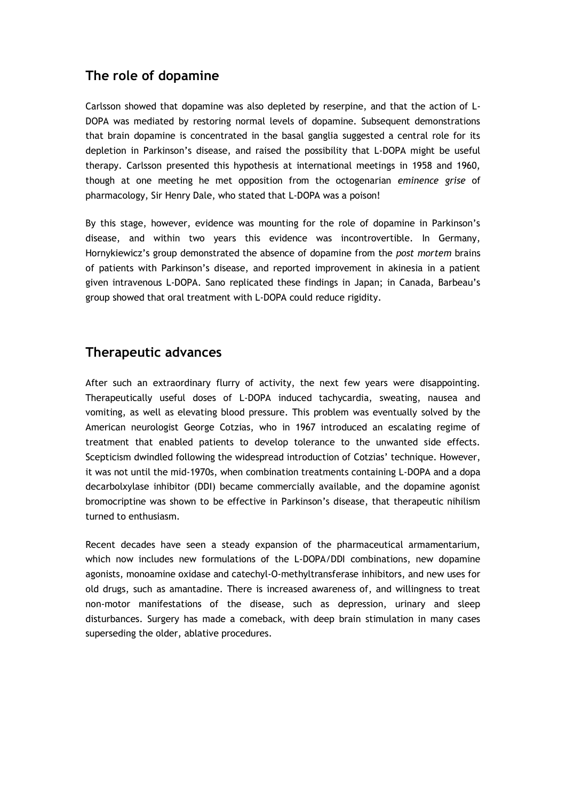# **The role of dopamine**

Carlsson showed that dopamine was also depleted by reserpine, and that the action of L-DOPA was mediated by restoring normal levels of dopamine. Subsequent demonstrations that brain dopamine is concentrated in the basal ganglia suggested a central role for its depletion in Parkinson"s disease, and raised the possibility that L-DOPA might be useful therapy. Carlsson presented this hypothesis at international meetings in 1958 and 1960, though at one meeting he met opposition from the octogenarian *eminence grise* of pharmacology, Sir Henry Dale, who stated that L-DOPA was a poison!

By this stage, however, evidence was mounting for the role of dopamine in Parkinson"s disease, and within two years this evidence was incontrovertible. In Germany, Hornykiewicz"s group demonstrated the absence of dopamine from the *post mortem* brains of patients with Parkinson"s disease, and reported improvement in akinesia in a patient given intravenous L-DOPA. Sano replicated these findings in Japan; in Canada, Barbeau"s group showed that oral treatment with L-DOPA could reduce rigidity.

### **Therapeutic advances**

After such an extraordinary flurry of activity, the next few years were disappointing. Therapeutically useful doses of L-DOPA induced tachycardia, sweating, nausea and vomiting, as well as elevating blood pressure. This problem was eventually solved by the American neurologist George Cotzias, who in 1967 introduced an escalating regime of treatment that enabled patients to develop tolerance to the unwanted side effects. Scepticism dwindled following the widespread introduction of Cotzias' technique. However, it was not until the mid-1970s, when combination treatments containing L-DOPA and a dopa decarbolxylase inhibitor (DDI) became commercially available, and the dopamine agonist bromocriptine was shown to be effective in Parkinson"s disease, that therapeutic nihilism turned to enthusiasm.

Recent decades have seen a steady expansion of the pharmaceutical armamentarium, which now includes new formulations of the L-DOPA/DDI combinations, new dopamine agonists, monoamine oxidase and catechyl-O-methyltransferase inhibitors, and new uses for old drugs, such as amantadine. There is increased awareness of, and willingness to treat non-motor manifestations of the disease, such as depression, urinary and sleep disturbances. Surgery has made a comeback, with deep brain stimulation in many cases superseding the older, ablative procedures.